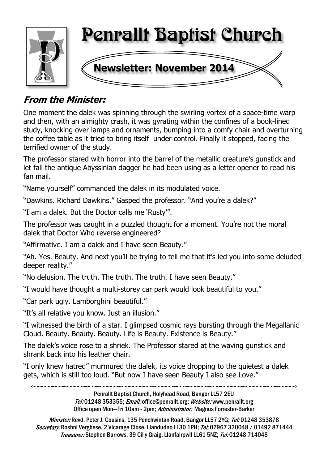

# **From the Minister:**

One moment the dalek was spinning through the swirling vortex of a space-time warp and then, with an almighty crash, it was gyrating within the confines of a book-lined study, knocking over lamps and ornaments, bumping into a comfy chair and overturning the coffee table as it tried to bring itself under control. Finally it stopped, facing the terrified owner of the study.

The professor stared with horror into the barrel of the metallic creature's gunstick and let fall the antique Abyssinian dagger he had been using as a letter opener to read his fan mail.

"Name yourself" commanded the dalek in its modulated voice.

"Dawkins. Richard Dawkins." Gasped the professor. "And you're a dalek?"

"I am a dalek. But the Doctor calls me 'Rusty'".

The professor was caught in a puzzled thought for a moment. You're not the moral dalek that Doctor Who reverse engineered?

"Affirmative. I am a dalek and I have seen Beauty."

"Ah. Yes. Beauty. And next you'll be trying to tell me that it's led you into some deluded deeper reality."

"No delusion. The truth. The truth. The truth. I have seen Beauty."

"I would have thought a multi-storey car park would look beautiful to you."

"Car park ugly. Lamborghini beautiful."

"It's all relative you know. Just an illusion."

"I witnessed the birth of a star. I glimpsed cosmic rays bursting through the Megallanic Cloud. Beauty. Beauty. Beauty. Life is Beauty. Existence is Beauty."

The dalek's voice rose to a shriek. The Professor stared at the waving gunstick and shrank back into his leather chair.

"I only knew hatred" murmured the dalek, its voice dropping to the quietest a dalek gets, which is still too loud. "But now I have seen Beauty I also see Love."

> Penrallt Baptist Church, Holyhead Road, Bangor LL57 2EU Tel:01248 353355; Email: office@penrallt.org; Website: www.penrallt.org Office open Mon-Fri 10am - 2pm; Administrator: Magnus Forrester-Barker

Minister: Revd. Peter J. Cousins, 135 Penchwintan Road, Bangor LL57 2YG; Tel: 01248 353878 Secretary: Roshni Verghese, 2 Vicarage Close, Llandudno LL30 1PH; Tel: 07967 320048 / 01492 871444 Treasurer: Stephen Burrows, 39 Cil y Graig, Llanfairpwll LL61 5NZ; Tel: 01248 714048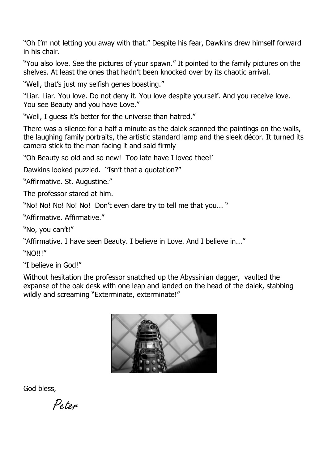"Oh I'm not letting you away with that." Despite his fear, Dawkins drew himself forward in his chair.

"You also love. See the pictures of your spawn." It pointed to the family pictures on the shelves. At least the ones that hadn't been knocked over by its chaotic arrival.

"Well, that's just my selfish genes boasting."

"Liar. Liar. You love. Do not deny it. You love despite yourself. And you receive love. You see Beauty and you have Love."

"Well, I guess it's better for the universe than hatred."

There was a silence for a half a minute as the dalek scanned the paintings on the walls, the laughing family portraits, the artistic standard lamp and the sleek décor. It turned its camera stick to the man facing it and said firmly

"Oh Beauty so old and so new! Too late have I loved thee!'

Dawkins looked puzzled. "Isn't that a quotation?"

"Affirmative. St. Augustine."

The professor stared at him.

"No! No! No! No! No! Don't even dare try to tell me that you... "

"Affirmative. Affirmative."

"No, you can't!"

"Affirmative. I have seen Beauty. I believe in Love. And I believe in..."

"NO!!!"

"I believe in God!"

Without hesitation the professor snatched up the Abyssinian dagger, vaulted the expanse of the oak desk with one leap and landed on the head of the dalek, stabbing wildly and screaming "Exterminate, exterminate!"



God bless,

Poton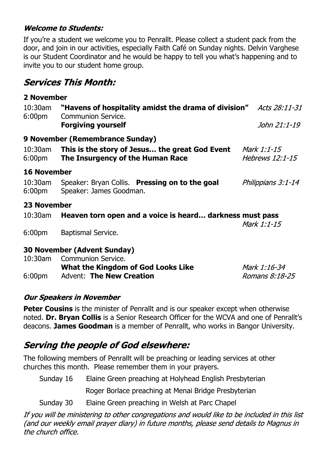## **Welcome to Students:**

If you're a student we welcome you to Penrallt. Please collect a student pack from the door, and join in our activities, especially Faith Café on Sunday nights. Delvin Varghese is our Student Coordinator and he would be happy to tell you what's happening and to invite you to our student home group.

# **Services This Month:**

| 2 November                       |                                                                                          |                                       |
|----------------------------------|------------------------------------------------------------------------------------------|---------------------------------------|
| $10:30$ am<br>6:00 <sub>pm</sub> | "Havens of hospitality amidst the drama of division" Acts 28:11-31<br>Communion Service. |                                       |
|                                  | <b>Forgiving yourself</b>                                                                | John 21:1-19                          |
|                                  | 9 November (Remembrance Sunday)                                                          |                                       |
| 10:30am<br>6:00pm                | This is the story of Jesus the great God Event<br>The Insurgency of the Human Race       | Mark 1:1-15<br><i>Hebrews 12:1-15</i> |
| <b>16 November</b>               |                                                                                          |                                       |
| 10:30am<br>6:00 <sub>pm</sub>    | Speaker: Bryan Collis. Pressing on to the goal<br>Speaker: James Goodman.                | Philippians 3:1-14                    |
| 23 November                      |                                                                                          |                                       |
| 10:30am                          | Heaven torn open and a voice is heard darkness must pass                                 | Mark 1:1-15                           |
| 6:00 <sub>pm</sub>               | <b>Baptismal Service.</b>                                                                |                                       |
|                                  | <b>30 November (Advent Sunday)</b>                                                       |                                       |
| $10:30$ am                       | Communion Service.<br>What the Kingdom of God Looks Like                                 | Mark 1:16-34                          |
| 6:00 <sub>pm</sub>               | <b>Advent: The New Creation</b>                                                          | Romans 8:18-25                        |

## **Our Speakers in November**

**Peter Cousins** is the minister of Penrallt and is our speaker except when otherwise noted. **Dr. Bryan Collis** is a Senior Research Officer for the WCVA and one of Penrallt's deacons. **James Goodman** is a member of Penrallt, who works in Bangor University.

# **Serving the people of God elsewhere:**

The following members of Penrallt will be preaching or leading services at other churches this month. Please remember them in your prayers.

Sunday 16 Elaine Green preaching at Holyhead English Presbyterian

Roger Borlace preaching at Menai Bridge Presbyterian

Sunday 30 Elaine Green preaching in Welsh at Parc Chapel

If you will be ministering to other congregations and would like to be included in this list (and our weekly email prayer diary) in future months, please send details to Magnus in the church office.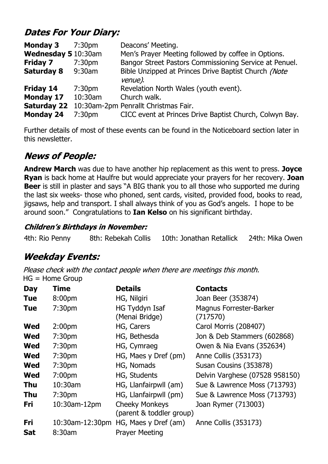# **Dates For Your Diary:**

| <b>Monday 3</b>                        | 7:30 <sub>pm</sub> | Deacons' Meeting.                                                                               |
|----------------------------------------|--------------------|-------------------------------------------------------------------------------------------------|
| Wednesday 5 10:30am                    |                    | Men's Prayer Meeting followed by coffee in Options.                                             |
| <b>Friday 7</b>                        | 7:30 <sub>pm</sub> | Bangor Street Pastors Commissioning Service at Penuel.                                          |
| <b>Saturday 8</b>                      | 9:30am             | Bible Unzipped at Princes Drive Baptist Church (Note<br>venue).                                 |
| Friday 14                              | 7:30 <sub>pm</sub> | Revelation North Wales (youth event).                                                           |
| <b>Monday 17</b>                       | 10:30am            | Church walk.                                                                                    |
| <b>Saturday 22</b><br><b>Monday 24</b> | 7:30 <sub>pm</sub> | 10:30am-2pm Penrallt Christmas Fair.<br>CICC event at Princes Drive Baptist Church, Colwyn Bay. |
|                                        |                    |                                                                                                 |

Further details of most of these events can be found in the Noticeboard section later in this newsletter.

# **News of People:**

**Andrew March** was due to have another hip replacement as this went to press. **Joyce Ryan** is back home at Haulfre but would appreciate your prayers for her recovery. **Joan Beer** is still in plaster and says "A BIG thank you to all those who supported me during the last six weeks- those who phoned, sent cards, visited, provided food, books to read, jigsaws, help and transport. I shall always think of you as God's angels. I hope to be around soon." Congratulations to **Ian Kelso** on his significant birthday.

## **Children's Birthdays in November:**

|  | 4th: Rio Penny | 8th: Rebekah Collis | 10th: Jonathan Retallick | 24th: Mika Owen |
|--|----------------|---------------------|--------------------------|-----------------|
|--|----------------|---------------------|--------------------------|-----------------|

# **Weekday Events:**

Please check with the contact people when there are meetings this month. HG = Home Group

| <b>Day</b> | <b>Time</b>        | <b>Details</b>                                    | <b>Contacts</b>                     |
|------------|--------------------|---------------------------------------------------|-------------------------------------|
| <b>Tue</b> | 8:00 <sub>pm</sub> | HG, Nilgiri                                       | Joan Beer (353874)                  |
| <b>Tue</b> | 7:30 <sub>pm</sub> | HG Tyddyn Isaf<br>(Menai Bridge)                  | Magnus Forrester-Barker<br>(717570) |
| <b>Wed</b> | 2:00 <sub>pm</sub> | HG, Carers                                        | Carol Morris (208407)               |
| <b>Wed</b> | 7:30 <sub>pm</sub> | HG, Bethesda                                      | Jon & Deb Stammers (602868)         |
| <b>Wed</b> | 7:30 <sub>pm</sub> | HG, Cymraeg                                       | Owen & Nia Evans (352634)           |
| <b>Wed</b> | 7:30 <sub>pm</sub> | HG, Maes y Dref (pm)                              | Anne Collis (353173)                |
| <b>Wed</b> | 7:30 <sub>pm</sub> | HG, Nomads                                        | Susan Cousins (353878)              |
| <b>Wed</b> | 7:00 <sub>pm</sub> | HG, Students                                      | Delvin Varghese (07528 958150)      |
| <b>Thu</b> | 10:30am            | HG, Llanfairpwll (am)                             | Sue & Lawrence Moss (713793)        |
| <b>Thu</b> | 7:30 <sub>pm</sub> | HG, Llanfairpwll (pm)                             | Sue & Lawrence Moss (713793)        |
| Fri        | 10:30am-12pm       | <b>Cheeky Monkeys</b><br>(parent & toddler group) | Joan Rymer (713003)                 |
| Fri        | 10:30am-12:30pm    | HG, Maes y Dref (am)                              | Anne Collis (353173)                |
| <b>Sat</b> | 8:30am             | <b>Prayer Meeting</b>                             |                                     |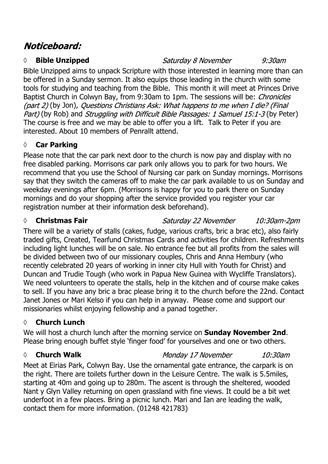# Noticeboard:

## **◊ Bible Unzipped**

Saturday 8 November  $9:30$ am

Bible Unzipped aims to unpack Scripture with those interested in learning more than can be offered in a Sunday sermon. It also equips those leading in the church with some tools for studying and teaching from the Bible. This month it will meet at Princes Drive Baptist Church in Colwyn Bay, from 9:30am to 1pm. The sessions will be: *Chronicles* (part 2) (by Jon), Questions Christians Ask: What happens to me when I die? (Final Part) (by Rob) and *Struggling with Difficult Bible Passages: 1 Samuel 15:1-3* (by Peter) The course is free and we may be able to offer you a lift. Talk to Peter if you are interested. About 10 members of Penrallt attend.

# **◊ Car Parking**

Please note that the car park next door to the church is now pay and display with no free disabled parking. Morrisons car park only allows you to park for two hours. We recommend that you use the School of Nursing car park on Sunday mornings. Morrisons say that they switch the cameras off to make the car park available to us on Sunday and weekday evenings after 6pm. (Morrisons is happy for you to park there on Sunday mornings and do your shopping after the service provided you register your car registration number at their information desk beforehand).

## *◊* **Christmas Fair**

Saturday 22 November 10:30am-2pm

There will be a variety of stalls (cakes, fudge, various crafts, bric a brac etc), also fairly traded gifts, Created, Tearfund Christmas Cards and activities for children. Refreshments including light lunches will be on sale. No entrance fee but all profits from the sales will be divided between two of our missionary couples, Chris and Anna Hembury (who recently celebrated 20 years of working in inner city Hull with Youth for Christ) and Duncan and Trudie Tough (who work in Papua New Guinea with Wycliffe Translators). We need volunteers to operate the stalls, help in the kitchen and of course make cakes to sell. If you have any bric a brac please bring it to the church before the 22nd. Contact Janet Jones or Mari Kelso if you can help in anyway. Please come and support our missionaries whilst enjoying fellowship and a panad together.

# **◊ Church Lunch**

We will host a church lunch after the morning service on **Sunday November 2nd**. Please bring enough buffet style 'finger food' for yourselves and one or two others.

## *◊* **Church Walk**

Monday 17 November 10:30am

Meet at Eirias Park, Colwyn Bay. Use the ornamental gate entrance, the carpark is on the right. There are toilets further down in the Leisure Centre. The walk is 5.5miles, starting at 40m and going up to 280m. The ascent is through the sheltered, wooded Nant y Glyn Valley returning on open grassland with fine views. It could be a bit wet underfoot in a few places. Bring a picnic lunch. Mari and Ian are leading the walk, contact them for more information. (01248 421783)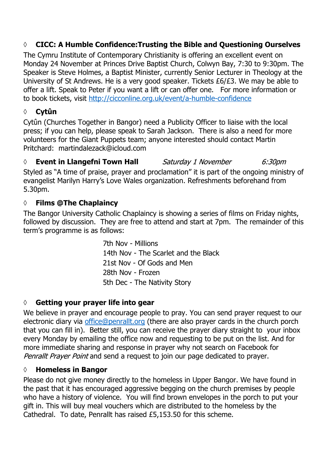# **◊ CICC: A Humble Confidence:Trusting the Bible and Questioning Ourselves**

The Cymru Institute of Contemporary Christianity is offering an excellent event on Monday 24 November at Princes Drive Baptist Church, Colwyn Bay, 7:30 to 9:30pm. The Speaker is Steve Holmes, a Baptist Minister, currently Senior Lecturer in Theology at the University of St Andrews. He is a very good speaker. Tickets £6/£3. We may be able to offer a lift. Speak to Peter if you want a lift or can offer one. For more information or to book tickets, visit http://cicconline.org.uk/event/a-humble-confidence

# **◊ Cytûn**

Cytûn (Churches Together in Bangor) need a Publicity Officer to liaise with the local press; if you can help, please speak to Sarah Jackson. There is also a need for more volunteers for the Giant Puppets team; anyone interested should contact Martin Pritchard: martindalezack@icloud.com

#### *◊* **Event in Llangefni Town Hall** Saturday 1 November 6:30pm

Styled as "A time of praise, prayer and proclamation" it is part of the ongoing ministry of evangelist Marilyn Harry's Love Wales organization. Refreshments beforehand from 5.30pm.

## **◊ Films @The Chaplaincy**

The Bangor University Catholic Chaplaincy is showing a series of films on Friday nights, followed by discussion. They are free to attend and start at 7pm. The remainder of this term's programme is as follows:

> 7th Nov - Millions 14th Nov - The Scarlet and the Black 21st Nov - Of Gods and Men 28th Nov - Frozen 5th Dec - The Nativity Story

## **◊ Getting your prayer life into gear**

We believe in prayer and encourage people to pray. You can send prayer request to our electronic diary via office@penrallt.org (there are also prayer cards in the church porch that you can fill in). Better still, you can receive the prayer diary straight to your inbox every Monday by emailing the office now and requesting to be put on the list. And for more immediate sharing and response in prayer why not search on Facebook for Penrallt Prayer Point and send a request to join our page dedicated to prayer.

## **◊ Homeless in Bangor**

Please do not give money directly to the homeless in Upper Bangor. We have found in the past that it has encouraged aggressive begging on the church premises by people who have a history of violence. You will find brown envelopes in the porch to put your gift in. This will buy meal vouchers which are distributed to the homeless by the Cathedral. To date, Penrallt has raised £5,153.50 for this scheme.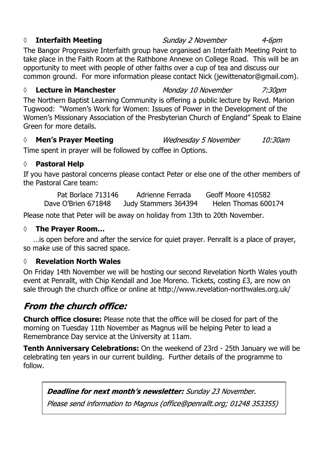## *◊* **Interfaith Meeting**

The Bangor Progressive Interfaith group have organised an Interfaith Meeting Point to take place in the Faith Room at the Rathbone Annexe on College Road. This will be an opportunity to meet with people of other faiths over a cup of tea and discuss our common ground. For more information please contact Nick (jewittenator@gmail.com).

#### *◊* **Lecture in Manchester**

The Northern Baptist Learning Community is offering a public lecture by Revd. Marion Tugwood: "Women's Work for Women: Issues of Power in the Development of the Women's Missionary Association of the Presbyterian Church of England" Speak to Elaine Green for more details.

#### *◊* **Men's Prayer Meeting** Wednesday 5 November 10:30am

Time spent in prayer will be followed by coffee in Options.

## **◊ Pastoral Help**

If you have pastoral concerns please contact Peter or else one of the other members of the Pastoral Care team:

Pat Borlace 713146 Adrienne Ferrada Geoff Moore 410582 Dave O'Brien 671848 Judy Stammers 364394 Helen Thomas 600174

Please note that Peter will be away on holiday from 13th to 20th November.

## **◊ The Prayer Room…**

…is open before and after the service for quiet prayer. Penrallt is a place of prayer, so make use of this sacred space.

## **◊ Revelation North Wales**

On Friday 14th November we will be hosting our second Revelation North Wales youth event at Penrallt, with Chip Kendall and Joe Moreno. Tickets, costing £3, are now on sale through the church office or online at http://www.revelation-northwales.org.uk/

# **From the church office:**

**Church office closure:** Please note that the office will be closed for part of the morning on Tuesday 11th November as Magnus will be helping Peter to lead a Remembrance Day service at the University at 11am.

**Tenth Anniversary Celebrations:** On the weekend of 23rd - 25th January we will be celebrating ten years in our current building. Further details of the programme to follow.

**Deadline for next month's newsletter:** Sunday 23 November.

Please send information to Magnus (office@penrallt.org; 01248 353355)

#### Sunday 2 November

Monday 10 November

 $4 - 6$ pm

7:30pm